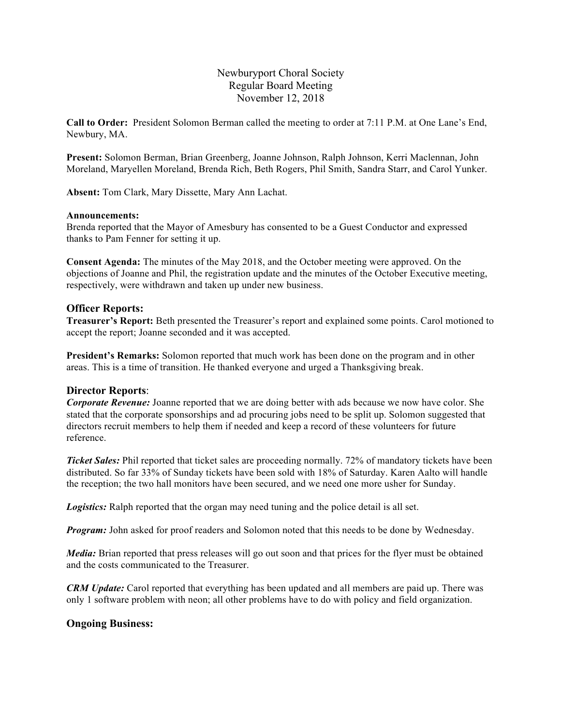# Newburyport Choral Society Regular Board Meeting November 12, 2018

**Call to Order:** President Solomon Berman called the meeting to order at 7:11 P.M. at One Lane's End, Newbury, MA.

**Present:** Solomon Berman, Brian Greenberg, Joanne Johnson, Ralph Johnson, Kerri Maclennan, John Moreland, Maryellen Moreland, Brenda Rich, Beth Rogers, Phil Smith, Sandra Starr, and Carol Yunker.

**Absent:** Tom Clark, Mary Dissette, Mary Ann Lachat.

### **Announcements:**

Brenda reported that the Mayor of Amesbury has consented to be a Guest Conductor and expressed thanks to Pam Fenner for setting it up.

**Consent Agenda:** The minutes of the May 2018, and the October meeting were approved. On the objections of Joanne and Phil, the registration update and the minutes of the October Executive meeting, respectively, were withdrawn and taken up under new business.

### **Officer Reports:**

**Treasurer's Report:** Beth presented the Treasurer's report and explained some points. Carol motioned to accept the report; Joanne seconded and it was accepted.

**President's Remarks:** Solomon reported that much work has been done on the program and in other areas. This is a time of transition. He thanked everyone and urged a Thanksgiving break.

## **Director Reports**:

*Corporate Revenue:* Joanne reported that we are doing better with ads because we now have color. She stated that the corporate sponsorships and ad procuring jobs need to be split up. Solomon suggested that directors recruit members to help them if needed and keep a record of these volunteers for future reference.

*Ticket Sales:* Phil reported that ticket sales are proceeding normally. 72% of mandatory tickets have been distributed. So far 33% of Sunday tickets have been sold with 18% of Saturday. Karen Aalto will handle the reception; the two hall monitors have been secured, and we need one more usher for Sunday.

*Logistics:* Ralph reported that the organ may need tuning and the police detail is all set.

*Program:* John asked for proof readers and Solomon noted that this needs to be done by Wednesday.

*Media:* Brian reported that press releases will go out soon and that prices for the flyer must be obtained and the costs communicated to the Treasurer.

*CRM Update:* Carol reported that everything has been updated and all members are paid up. There was only 1 software problem with neon; all other problems have to do with policy and field organization.

## **Ongoing Business:**